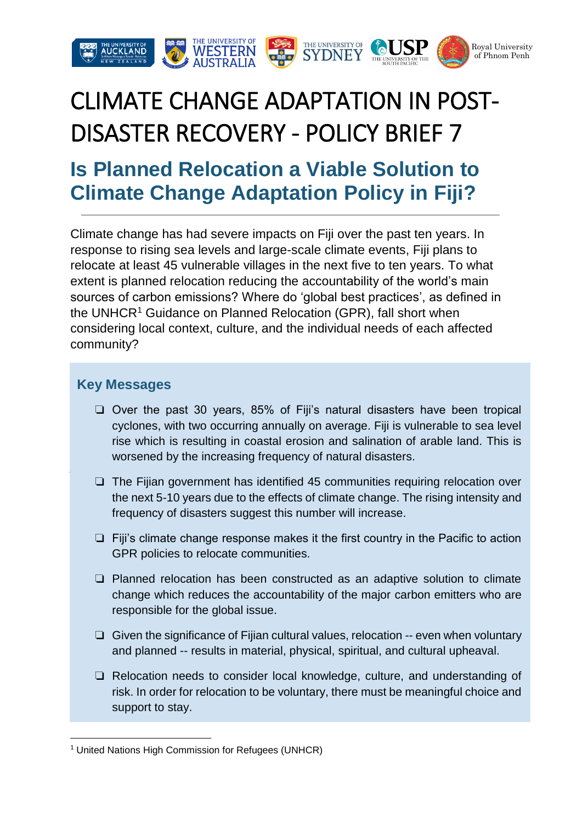

# CLIMATE CHANGE ADAPTATION IN POST-DISASTER RECOVERY - POLICY BRIEF 7

## **Is Planned Relocation a Viable Solution to Climate Change Adaptation Policy in Fiji?**

Climate change has had severe impacts on Fiji over the past ten years. In response to rising sea levels and large-scale climate events, Fiji plans to relocate at least 45 vulnerable villages in the next five to ten years. To what extent is planned relocation reducing the accountability of the world's main sources of carbon emissions? Where do 'global best practices', as defined in the UNHCR<sup>1</sup> Guidance on Planned Relocation (GPR), fall short when considering local context, culture, and the individual needs of each affected community?

#### **Key Messages**

**.** 

- ❏ Over the past 30 years, 85% of Fiji's natural disasters have been tropical cyclones, with two occurring annually on average. Fiji is vulnerable to sea level rise which is resulting in coastal erosion and salination of arable land. This is worsened by the increasing frequency of natural disasters.
- ❏ The Fijian government has identified 45 communities requiring relocation over the next 5-10 years due to the effects of climate change. The rising intensity and frequency of disasters suggest this number will increase.
- ❏ Fiji's climate change response makes it the first country in the Pacific to action GPR policies to relocate communities.
- ❏ Planned relocation has been constructed as an adaptive solution to climate change which reduces the accountability of the major carbon emitters who are responsible for the global issue.
- ❏ Given the significance of Fijian cultural values, relocation -- even when voluntary and planned -- results in material, physical, spiritual, and cultural upheaval.
- ❏ Relocation needs to consider local knowledge, culture, and understanding of risk. In order for relocation to be voluntary, there must be meaningful choice and support to stay.

<sup>&</sup>lt;sup>1</sup> United Nations High Commission for Refugees (UNHCR)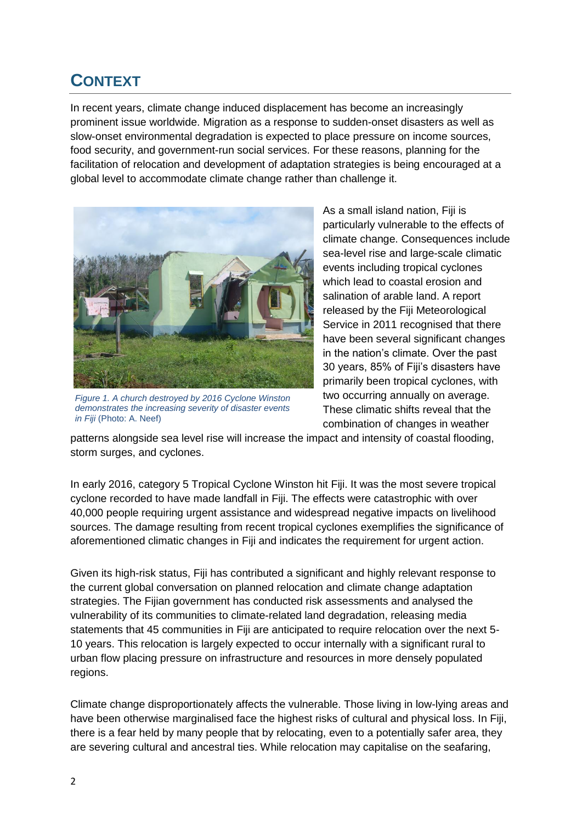## **CONTEXT**

In recent years, climate change induced displacement has become an increasingly prominent issue worldwide. Migration as a response to sudden-onset disasters as well as slow-onset environmental degradation is expected to place pressure on income sources, food security, and government-run social services. For these reasons, planning for the facilitation of relocation and development of adaptation strategies is being encouraged at a global level to accommodate climate change rather than challenge it.



*Figure 1. A church destroyed by 2016 Cyclone Winston demonstrates the increasing severity of disaster events in Fiji* (Photo: A. Neef)

As a small island nation, Fiji is particularly vulnerable to the effects of climate change. Consequences include sea-level rise and large-scale climatic events including tropical cyclones which lead to coastal erosion and salination of arable land. A report released by the Fiji Meteorological Service in 2011 recognised that there have been several significant changes in the nation's climate. Over the past 30 years, 85% of Fiji's disasters have primarily been tropical cyclones, with two occurring annually on average. These climatic shifts reveal that the combination of changes in weather

patterns alongside sea level rise will increase the impact and intensity of coastal flooding, storm surges, and cyclones.

In early 2016, category 5 Tropical Cyclone Winston hit Fiji. It was the most severe tropical cyclone recorded to have made landfall in Fiji. The effects were catastrophic with over 40,000 people requiring urgent assistance and widespread negative impacts on livelihood sources. The damage resulting from recent tropical cyclones exemplifies the significance of aforementioned climatic changes in Fiji and indicates the requirement for urgent action.

Given its high-risk status, Fiji has contributed a significant and highly relevant response to the current global conversation on planned relocation and climate change adaptation strategies. The Fijian government has conducted risk assessments and analysed the vulnerability of its communities to climate-related land degradation, releasing media statements that 45 communities in Fiji are anticipated to require relocation over the next 5- 10 years. This relocation is largely expected to occur internally with a significant rural to urban flow placing pressure on infrastructure and resources in more densely populated regions.

Climate change disproportionately affects the vulnerable. Those living in low-lying areas and have been otherwise marginalised face the highest risks of cultural and physical loss. In Fiji, there is a fear held by many people that by relocating, even to a potentially safer area, they are severing cultural and ancestral ties. While relocation may capitalise on the seafaring,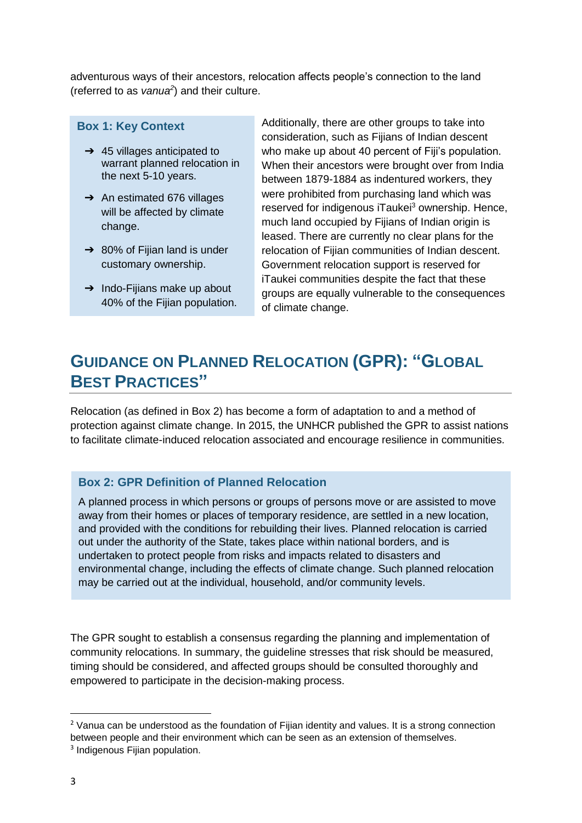adventurous ways of their ancestors, relocation affects people's connection to the land (referred to as *vanua<sup>2</sup>* ) and their culture.

#### **Box 1: Key Context**

- $\rightarrow$  45 villages anticipated to warrant planned relocation in the next 5-10 years.
- ➔ An estimated 676 villages will be affected by climate change.
- $\rightarrow$  80% of Fijian land is under customary ownership.
- $\rightarrow$  Indo-Fijians make up about 40% of the Fijian population.

Additionally, there are other groups to take into consideration, such as Fijians of Indian descent who make up about 40 percent of Fiji's population. When their ancestors were brought over from India between 1879-1884 as indentured workers, they were prohibited from purchasing land which was reserved for indigenous iTaukei<sup>3</sup> ownership. Hence, much land occupied by Fijians of Indian origin is leased. There are currently no clear plans for the relocation of Fijian communities of Indian descent. Government relocation support is reserved for iTaukei communities despite the fact that these groups are equally vulnerable to the consequences of climate change.

## **GUIDANCE ON PLANNED RELOCATION (GPR): "GLOBAL BEST PRACTICES"**

Relocation (as defined in Box 2) has become a form of adaptation to and a method of protection against climate change. In 2015, the UNHCR published the GPR to assist nations to facilitate climate-induced relocation associated and encourage resilience in communities.

#### **Box 2: GPR Definition of Planned Relocation**

A planned process in which persons or groups of persons move or are assisted to move away from their homes or places of temporary residence, are settled in a new location, and provided with the conditions for rebuilding their lives. Planned relocation is carried out under the authority of the State, takes place within national borders, and is undertaken to protect people from risks and impacts related to disasters and environmental change, including the effects of climate change. Such planned relocation may be carried out at the individual, household, and/or community levels.

The GPR sought to establish a consensus regarding the planning and implementation of community relocations. In summary, the guideline stresses that risk should be measured, timing should be considered, and affected groups should be consulted thoroughly and empowered to participate in the decision-making process.

 $\overline{a}$ 

 $<sup>2</sup>$  Vanua can be understood as the foundation of Fijian identity and values. It is a strong connection</sup> between people and their environment which can be seen as an extension of themselves.

<sup>&</sup>lt;sup>3</sup> Indigenous Fijian population.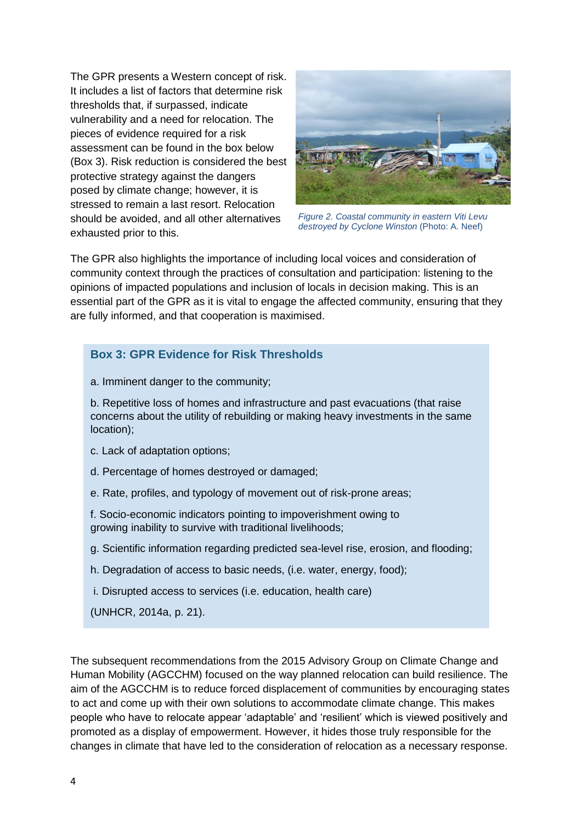The GPR presents a Western concept of risk. It includes a list of factors that determine risk thresholds that, if surpassed, indicate vulnerability and a need for relocation. The pieces of evidence required for a risk assessment can be found in the box below (Box 3). Risk reduction is considered the best protective strategy against the dangers posed by climate change; however, it is stressed to remain a last resort. Relocation should be avoided, and all other alternatives exhausted prior to this.



*Figure 2. Coastal community in eastern Viti Levu destroyed by Cyclone Winston* (Photo: A. Neef)

The GPR also highlights the importance of including local voices and consideration of community context through the practices of consultation and participation: listening to the opinions of impacted populations and inclusion of locals in decision making. This is an essential part of the GPR as it is vital to engage the affected community, ensuring that they are fully informed, and that cooperation is maximised.

#### **Box 3: GPR Evidence for Risk Thresholds**

a. Imminent danger to the community;

b. Repetitive loss of homes and infrastructure and past evacuations (that raise concerns about the utility of rebuilding or making heavy investments in the same location);

- c. Lack of adaptation options;
- d. Percentage of homes destroyed or damaged;
- e. Rate, profiles, and typology of movement out of risk-prone areas;

f. Socio-economic indicators pointing to impoverishment owing to growing inability to survive with traditional livelihoods;

- g. Scientific information regarding predicted sea-level rise, erosion, and flooding;
- h. Degradation of access to basic needs, (i.e. water, energy, food);
- i. Disrupted access to services (i.e. education, health care)

(UNHCR, 2014a, p. 21).

The subsequent recommendations from the 2015 Advisory Group on Climate Change and Human Mobility (AGCCHM) focused on the way planned relocation can build resilience. The aim of the AGCCHM is to reduce forced displacement of communities by encouraging states to act and come up with their own solutions to accommodate climate change. This makes people who have to relocate appear 'adaptable' and 'resilient' which is viewed positively and promoted as a display of empowerment. However, it hides those truly responsible for the changes in climate that have led to the consideration of relocation as a necessary response.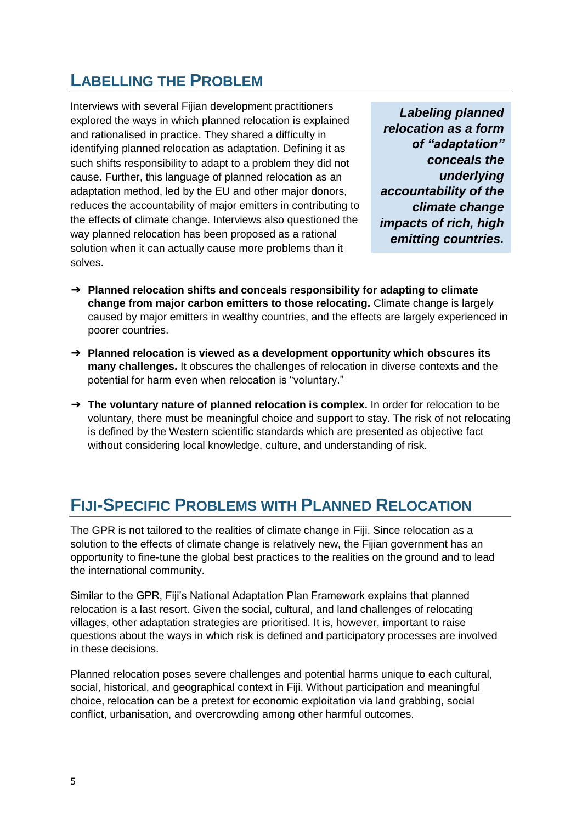## **LABELLING THE PROBLEM**

Interviews with several Fijian development practitioners explored the ways in which planned relocation is explained and rationalised in practice. They shared a difficulty in identifying planned relocation as adaptation. Defining it as such shifts responsibility to adapt to a problem they did not cause. Further, this language of planned relocation as an adaptation method, led by the EU and other major donors, reduces the accountability of major emitters in contributing to the effects of climate change. Interviews also questioned the way planned relocation has been proposed as a rational solution when it can actually cause more problems than it solves.

*Labeling planned relocation as a form of "adaptation" conceals the underlying accountability of the climate change impacts of rich, high emitting countries.*

- ➔ **Planned relocation shifts and conceals responsibility for adapting to climate change from major carbon emitters to those relocating.** Climate change is largely caused by major emitters in wealthy countries, and the effects are largely experienced in poorer countries.
- ➔ **Planned relocation is viewed as a development opportunity which obscures its many challenges.** It obscures the challenges of relocation in diverse contexts and the potential for harm even when relocation is "voluntary."
- ➔ **The voluntary nature of planned relocation is complex.** In order for relocation to be voluntary, there must be meaningful choice and support to stay. The risk of not relocating is defined by the Western scientific standards which are presented as objective fact without considering local knowledge, culture, and understanding of risk.

### **FIJI-SPECIFIC PROBLEMS WITH PLANNED RELOCATION**

The GPR is not tailored to the realities of climate change in Fiji. Since relocation as a solution to the effects of climate change is relatively new, the Fijian government has an opportunity to fine-tune the global best practices to the realities on the ground and to lead the international community.

Similar to the GPR, Fiji's National Adaptation Plan Framework explains that planned relocation is a last resort. Given the social, cultural, and land challenges of relocating villages, other adaptation strategies are prioritised. It is, however, important to raise questions about the ways in which risk is defined and participatory processes are involved in these decisions.

Planned relocation poses severe challenges and potential harms unique to each cultural, social, historical, and geographical context in Fiji. Without participation and meaningful choice, relocation can be a pretext for economic exploitation via land grabbing, social conflict, urbanisation, and overcrowding among other harmful outcomes.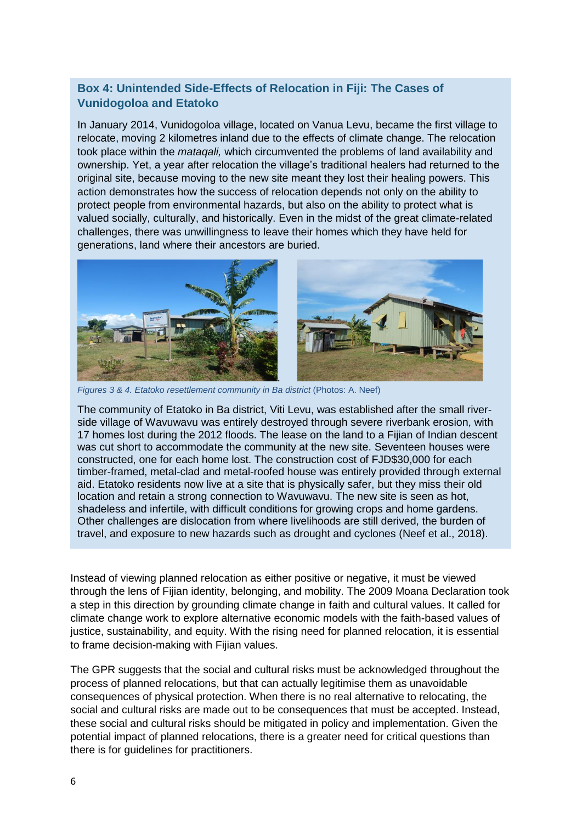#### **Box 4: Unintended Side-Effects of Relocation in Fiji: The Cases of Vunidogoloa and Etatoko**

In January 2014, Vunidogoloa village, located on Vanua Levu, became the first village to relocate, moving 2 kilometres inland due to the effects of climate change. The relocation took place within the *mataqali,* which circumvented the problems of land availability and ownership. Yet, a year after relocation the village's traditional healers had returned to the original site, because moving to the new site meant they lost their healing powers. This action demonstrates how the success of relocation depends not only on the ability to protect people from environmental hazards, but also on the ability to protect what is valued socially, culturally, and historically. Even in the midst of the great climate-related challenges, there was unwillingness to leave their homes which they have held for generations, land where their ancestors are buried.



*Figures* 3 & 4. *Etatoko resettlement community in Ba district* (Photos: A. Neef)

The community of Etatoko in Ba district, Viti Levu, was established after the small riverside village of Wavuwavu was entirely destroyed through severe riverbank erosion, with 17 homes lost during the 2012 floods. The lease on the land to a Fijian of Indian descent was cut short to accommodate the community at the new site. Seventeen houses were constructed, one for each home lost. The construction cost of FJD\$30,000 for each timber-framed, metal-clad and metal-roofed house was entirely provided through external aid. Etatoko residents now live at a site that is physically safer, but they miss their old location and retain a strong connection to Wavuwavu. The new site is seen as hot, shadeless and infertile, with difficult conditions for growing crops and home gardens. Other challenges are dislocation from where livelihoods are still derived, the burden of travel, and exposure to new hazards such as drought and cyclones (Neef et al., 2018).

Instead of viewing planned relocation as either positive or negative, it must be viewed through the lens of Fijian identity, belonging, and mobility. The 2009 Moana Declaration took a step in this direction by grounding climate change in faith and cultural values. It called for climate change work to explore alternative economic models with the faith-based values of justice, sustainability, and equity. With the rising need for planned relocation, it is essential to frame decision-making with Fijian values.

The GPR suggests that the social and cultural risks must be acknowledged throughout the process of planned relocations, but that can actually legitimise them as unavoidable consequences of physical protection. When there is no real alternative to relocating, the social and cultural risks are made out to be consequences that must be accepted. Instead, these social and cultural risks should be mitigated in policy and implementation. Given the potential impact of planned relocations, there is a greater need for critical questions than there is for guidelines for practitioners.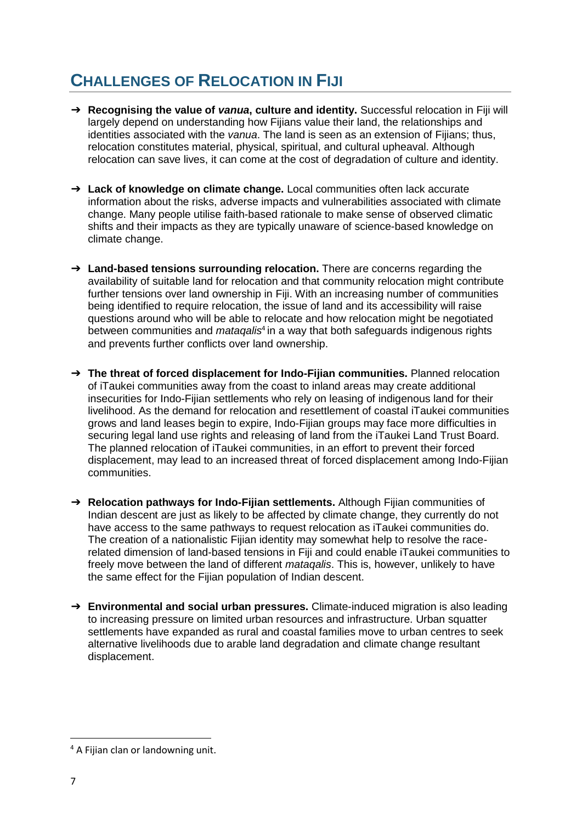## **CHALLENGES OF RELOCATION IN FIJI**

- ➔ **Recognising the value of** *vanua***, culture and identity.** Successful relocation in Fiji will largely depend on understanding how Fijians value their land, the relationships and identities associated with the *vanua*. The land is seen as an extension of Fijians; thus, relocation constitutes material, physical, spiritual, and cultural upheaval. Although relocation can save lives, it can come at the cost of degradation of culture and identity.
- ➔ **Lack of knowledge on climate change.** Local communities often lack accurate information about the risks, adverse impacts and vulnerabilities associated with climate change. Many people utilise faith-based rationale to make sense of observed climatic shifts and their impacts as they are typically unaware of science-based knowledge on climate change.
- ➔ **Land-based tensions surrounding relocation.** There are concerns regarding the availability of suitable land for relocation and that community relocation might contribute further tensions over land ownership in Fiji. With an increasing number of communities being identified to require relocation, the issue of land and its accessibility will raise questions around who will be able to relocate and how relocation might be negotiated between communities and *mataqalis*<sup>4</sup> in a way that both safeguards indigenous rights and prevents further conflicts over land ownership.
- ➔ **The threat of forced displacement for Indo-Fijian communities.** Planned relocation of iTaukei communities away from the coast to inland areas may create additional insecurities for Indo-Fijian settlements who rely on leasing of indigenous land for their livelihood. As the demand for relocation and resettlement of coastal iTaukei communities grows and land leases begin to expire, Indo-Fijian groups may face more difficulties in securing legal land use rights and releasing of land from the iTaukei Land Trust Board. The planned relocation of iTaukei communities, in an effort to prevent their forced displacement, may lead to an increased threat of forced displacement among Indo-Fijian communities.
- ➔ **Relocation pathways for Indo-Fijian settlements.** Although Fijian communities of Indian descent are just as likely to be affected by climate change, they currently do not have access to the same pathways to request relocation as iTaukei communities do. The creation of a nationalistic Fijian identity may somewhat help to resolve the racerelated dimension of land-based tensions in Fiji and could enable iTaukei communities to freely move between the land of different *mataqalis*. This is, however, unlikely to have the same effect for the Fijian population of Indian descent.
- ➔ **Environmental and social urban pressures.** Climate-induced migration is also leading to increasing pressure on limited urban resources and infrastructure. Urban squatter settlements have expanded as rural and coastal families move to urban centres to seek alternative livelihoods due to arable land degradation and climate change resultant displacement.

**<sup>.</sup>** <sup>4</sup> A Fijian clan or landowning unit.